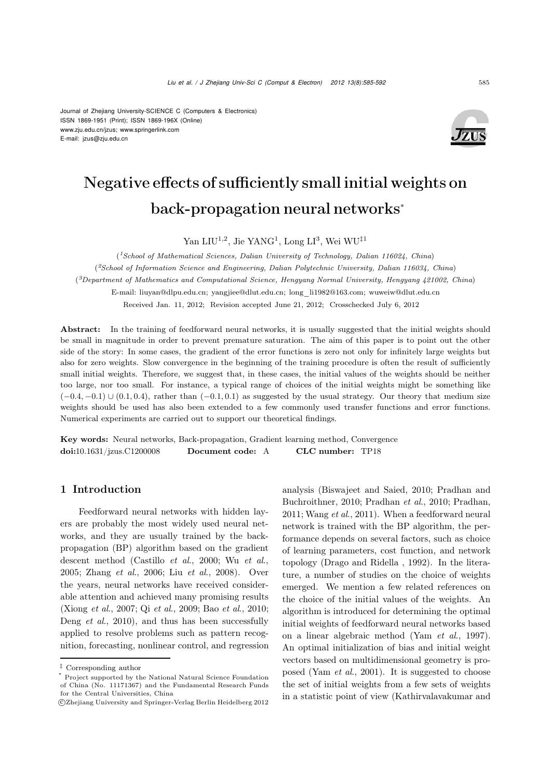

# $\mathcal{L}_{\mathbf{S}}$  and sufficiently small initial weights on sufficiently small  $\mathcal{L}_{\mathbf{S}}$ back-propagation neural networks<sup>∗</sup>

Yan LIU<sup>1,2</sup>, Jie YANG<sup>1</sup>, Long LI<sup>3</sup>, Wei WU<sup>‡1</sup>

(*1School of Mathematical Sciences, Dalian University of Technology, Dalian 116024, China*) (*2School of Information Science and Engineering, Dalian Polytechnic University, Dalian 116034, China*) (*3Department of Mathematics and Computational Science, Hengyang Normal University, Hengyang 421002, China*) E-mail: liuyan@dlpu.edu.cn; yangjiee@dlut.edu.cn; long\_li1982@163.com; wuweiw@dlut.edu.cn Received Jan. 11, 2012; Revision accepted June 21, 2012; Crosschecked July 6, 2012

Abstract: In the training of feedforward neural networks, it is usually suggested that the initial weights should be small in magnitude in order to prevent premature saturation. The aim of this paper is to point out the other side of the story: In some cases, the gradient of the error functions is zero not only for infinitely large weights but also for zero weights. Slow convergence in the beginning of the training procedure is often the result of sufficiently small initial weights. Therefore, we suggest that, in these cases, the initial values of the weights should be neither too large, nor too small. For instance, a typical range of choices of the initial weights might be something like  $(-0.4, -0.1) \cup (0.1, 0.4)$ , rather than  $(-0.1, 0.1)$  as suggested by the usual strategy. Our theory that medium size weights should be used has also been extended to a few commonly used transfer functions and error functions. Numerical experiments are carried out to support our theoretical findings.

Key words: Neural networks, Back-propagation, Gradient learning method, Convergence doi:10.1631/jzus.C1200008 Document code: A CLC number: TP18

### 1 Introduction

Feedforward neural networks with hidden layers are probably the most widely used neural networks, and they are usually trained by the backpropagation (BP) algorithm based on the gradient descent method (Castillo *et al*., 2000; Wu *et al*., 2005; Zhang *et al*., 2006; Liu *et al*., 2008). Over the years, neural networks have received considerable attention and achieved many promising results (Xiong *et al*., 2007; Qi *et al*., 2009; Bao *et al*., 2010; Deng *et al*., 2010), and thus has been successfully applied to resolve problems such as pattern recognition, forecasting, nonlinear control, and regression analysis (Biswajeet and Saied, 2010; Pradhan and Buchroithner, 2010; Pradhan *et al*., 2010; Pradhan, 2011; Wang *et al*., 2011). When a feedforward neural network is trained with the BP algorithm, the performance depends on several factors, such as choice of learning parameters, cost function, and network topology (Drago and Ridella , 1992). In the literature, a number of studies on the choice of weights emerged. We mention a few related references on the choice of the initial values of the weights. An algorithm is introduced for determining the optimal initial weights of feedforward neural networks based on a linear algebraic method (Yam *et al*., 1997). An optimal initialization of bias and initial weight vectors based on multidimensional geometry is proposed (Yam *et al*., 2001). It is suggested to choose the set of initial weights from a few sets of weights in a statistic point of view (Kathirvalavakumar and

<sup>‡</sup> Corresponding author

<sup>\*</sup> Project supported by the National Natural Science Foundation of China (No. 11171367) and the Fundamental Research Funds for the Central Universities, China

c Zhejiang University and Springer-Verlag Berlin Heidelberg 2012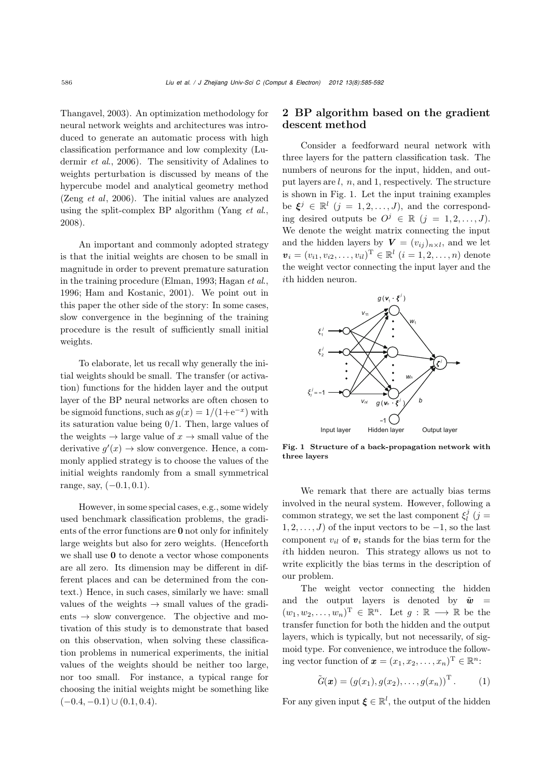Thangavel, 2003). An optimization methodology for neural network weights and architectures was introduced to generate an automatic process with high classification performance and low complexity (Ludermir *et al*., 2006). The sensitivity of Adalines to weights perturbation is discussed by means of the hypercube model and analytical geometry method (Zeng *et al*, 2006). The initial values are analyzed using the split-complex BP algorithm (Yang *et al*., 2008).

An important and commonly adopted strategy is that the initial weights are chosen to be small in magnitude in order to prevent premature saturation in the training procedure (Elman, 1993; Hagan *et al*., 1996; Ham and Kostanic, 2001). We point out in this paper the other side of the story: In some cases, slow convergence in the beginning of the training procedure is the result of sufficiently small initial weights.

To elaborate, let us recall why generally the initial weights should be small. The transfer (or activation) functions for the hidden layer and the output layer of the BP neural networks are often chosen to be sigmoid functions, such as  $g(x)=1/(1+e^{-x})$  with its saturation value being <sup>0</sup>/1. Then, large values of the weights  $\rightarrow$  large value of  $x \rightarrow$  small value of the derivative  $g'(x) \to$  slow convergence. Hence, a com-<br>monly applied strategy is to shoose the values of the monly applied strategy is to choose the values of the initial weights randomly from a small symmetrical range, say,  $(-0.1, 0.1)$ .

However, in some special cases, e.g., some widely used benchmark classification problems, the gradients of the error functions are **0** not only for infinitely large weights but also for zero weights. (Henceforth we shall use **0** to denote a vector whose components are all zero. Its dimension may be different in different places and can be determined from the context.) Hence, in such cases, similarly we have: small values of the weights  $\rightarrow$  small values of the gradients  $\rightarrow$  slow convergence. The objective and motivation of this study is to demonstrate that based on this observation, when solving these classification problems in numerical experiments, the initial values of the weights should be neither too large, nor too small. For instance, a typical range for choosing the initial weights might be something like  $(-0.4, -0.1) \cup (0.1, 0.4).$ 

## 2 BP algorithm based on the gradient descent method

Consider a feedforward neural network with three layers for the pattern classification task. The numbers of neurons for the input, hidden, and output layers are  $l, n$ , and 1, respectively. The structure is shown in Fig. 1. Let the input training examples be  $\xi^j \in \mathbb{R}^l$   $(j = 1, 2, ..., J)$ , and the corresponding desired outputs be  $O^j \in \mathbb{R}$   $(j = 1, 2, ..., J)$ . We denote the weight matrix connecting the input and the hidden layers by  $V = (v_{ij})_{n \times l}$ , and we let  $v_i = (v_{i1}, v_{i2}, \dots, v_{il})^{\mathrm{T}} \in \mathbb{R}^l$   $(i = 1, 2, \dots, n)$  denote the weight vector connecting the input layer and the ith hidden neuron.



Fig. 1 Structure of a back-propagation network with three layers

We remark that there are actually bias terms involved in the neural system. However, following a common strategy, we set the last component  $\xi_l^j$  (j = 1.2 s) of the input vectors to be 1.42 the last  $1, 2, \ldots, J$  of the input vectors to be  $-1$ , so the last component  $v_{il}$  of  $v_i$  stands for the bias term for the ith hidden neuron. This strategy allows us not to write explicitly the bias terms in the description of our problem.

The weight vector connecting the hidden and the output layers is denoted by  $\tilde{\mathbf{w}}$  =  $(w_1, w_2, \ldots, w_n)^{\mathrm{T}} \in \mathbb{R}^n$ . Let  $g : \mathbb{R} \longrightarrow \mathbb{R}$  be the transfer function for both the hidden and the output layers, which is typically, but not necessarily, of sigmoid type. For convenience, we introduce the following vector function of  $\boldsymbol{x} = (x_1, x_2, \dots, x_n)^\mathrm{T} \in \mathbb{R}^n$ :

$$
\tilde{G}(\boldsymbol{x}) = (g(x_1), g(x_2), \dots, g(x_n))^\mathrm{T}.
$$
 (1)

For any given input  $\boldsymbol{\xi} \in \mathbb{R}^l$ , the output of the hidden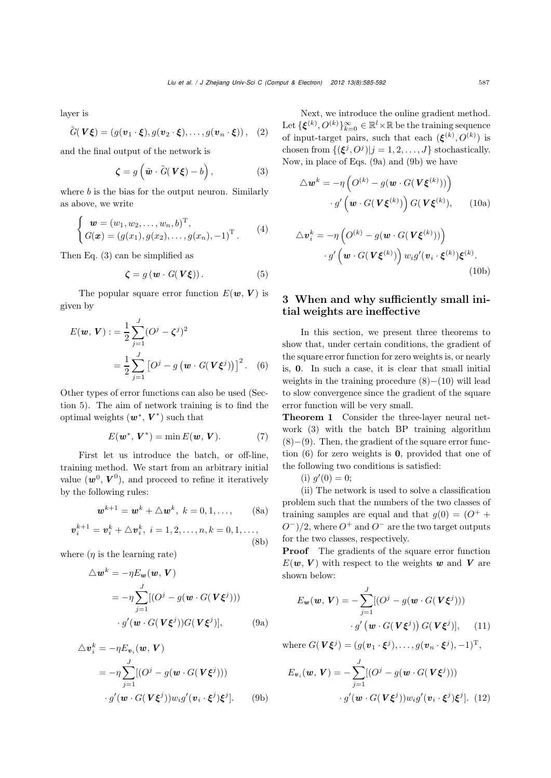layer is

$$
\tilde{G}(\boldsymbol{V}\boldsymbol{\xi}) = (g(\boldsymbol{v}_1\cdot\boldsymbol{\xi}), g(\boldsymbol{v}_2\cdot\boldsymbol{\xi}), \ldots, g(\boldsymbol{v}_n\cdot\boldsymbol{\xi})), \quad (2)
$$

and the final output of the network is

$$
\boldsymbol{\zeta} = g\left(\tilde{\boldsymbol{w}} \cdot \tilde{G}(\boldsymbol{V}\boldsymbol{\xi}) - b\right),\tag{3}
$$

where  $b$  is the bias for the output neuron. Similarly as above, we write

$$
\begin{cases}\n\mathbf{w} = (w_1, w_2, \dots, w_n, b)^{\mathrm{T}}, \\
G(\mathbf{x}) = (g(x_1), g(x_2), \dots, g(x_n), -1)^{\mathrm{T}}.\n\end{cases} (4)
$$

Then Eq. (3) can be simplified as

$$
\boldsymbol{\zeta} = g(\boldsymbol{w} \cdot G(\boldsymbol{V}\boldsymbol{\xi})). \tag{5}
$$

The popular square error function  $E(\mathbf{w}, \mathbf{V})$  is given by

$$
E(\mathbf{w}, \mathbf{V}) := \frac{1}{2} \sum_{j=1}^{J} (O^j - \zeta^j)^2
$$
  
= 
$$
\frac{1}{2} \sum_{j=1}^{J} [O^j - g(\mathbf{w} \cdot G(\mathbf{V}\boldsymbol{\xi}^j))]^2.
$$
 (6)

Other types of error functions can also be used (Section 5). The aim of network training is to find the optimal weights  $(w^*, V^*)$  such that

$$
E(\boldsymbol{w}^*,\boldsymbol{V}^*) = \min E(\boldsymbol{w},\boldsymbol{V}). \tag{7}
$$

First let us introduce the batch, or off-line, training method. We start from an arbitrary initial value  $(w^0, V^0)$ , and proceed to refine it iteratively by the following rules:

$$
\mathbf{w}^{k+1} = \mathbf{w}^k + \triangle \mathbf{w}^k, \ k = 0, 1, \dots,
$$
 (8a)

$$
\bm{v}_i^{k+1} = \bm{v}_i^k + \triangle \bm{v}_i^k, \ i = 1, 2, \dots, n, k = 0, 1, \dots,
$$
\n(8b)

where  $(\eta$  is the learning rate)

$$
\Delta \mathbf{w}^k = -\eta E_{\mathbf{w}}(\mathbf{w}, \mathbf{V})
$$
  
=  $-\eta \sum_{j=1}^J [(\mathbf{O}^j - g(\mathbf{w} \cdot G(\mathbf{V}\boldsymbol{\xi}^j)))$   
 $\cdot g'(\mathbf{w} \cdot G(\mathbf{V}\boldsymbol{\xi}^j))G(\mathbf{V}\boldsymbol{\xi}^j)],$  (9a)

$$
\Delta \mathbf{v}_i^k = -\eta E_{\mathbf{v}_i}(\mathbf{w}, \mathbf{V})
$$
  
=  $-\eta \sum_{j=1}^J [(\mathbf{O}^j - g(\mathbf{w} \cdot \mathbf{G}(\mathbf{V}\boldsymbol{\xi}^j)))$   
 $\cdot g'(\mathbf{w} \cdot \mathbf{G}(\mathbf{V}\boldsymbol{\xi}^j)) w_i g'(\mathbf{v}_i \cdot \boldsymbol{\xi}^j) \boldsymbol{\xi}^j].$  (9b)

Next, we introduce the online gradient method. Let  ${\{\boldsymbol{\xi}^{(k)}, O^{(k)}\}}_{k=0}^{\infty} \in \mathbb{R}^l \times \mathbb{R}$  be the training sequence of input-target pairs, such that each  $(\boldsymbol{\xi}^{(k)}, O^{(k)})$  is chosen from  $\{(\boldsymbol{\xi}^j, O^j)|j = 1, 2, ..., J\}$  stochastically. Now, in place of Eqs. (9a) and (9b) we have

$$
\Delta \boldsymbol{w}^{k} = -\eta \left( O^{(k)} - g(\boldsymbol{w} \cdot G(\boldsymbol{V} \boldsymbol{\xi}^{(k)})) \right) \cdot g' \left( \boldsymbol{w} \cdot G(\boldsymbol{V} \boldsymbol{\xi}^{(k)}) \right) G(\boldsymbol{V} \boldsymbol{\xi}^{(k)}), \qquad (10a)
$$

$$
\Delta \mathbf{v}_i^k = -\eta \left( O^{(k)} - g(\mathbf{w} \cdot G(\mathbf{V} \boldsymbol{\xi}^{(k)})) \right) \cdot g' \left( \mathbf{w} \cdot G(\mathbf{V} \boldsymbol{\xi}^{(k)}) \right) w_i g'(\mathbf{v}_i \cdot \boldsymbol{\xi}^{(k)}) \boldsymbol{\xi}^{(k)}.
$$
\n(10b)

## 3 When and why sufficiently small initial weights are ineffective

In this section, we present three theorems to show that, under certain conditions, the gradient of the square error function for zero weights is, or nearly is, **0**. In such a case, it is clear that small initial weights in the training procedure  $(8)–(10)$  will lead to slow convergence since the gradient of the square error function will be very small.

Theorem 1 Consider the three-layer neural network (3) with the batch BP training algorithm  $(8)–(9)$ . Then, the gradient of the square error function (6) for zero weights is **0**, provided that one of the following two conditions is satisfied:

(i)  $g'(0) = 0;$ <br>(ii) The netwo

(ii) The network is used to solve a classification problem such that the numbers of the two classes of training samples are equal and that  $g(0) = (O^+ +$  $O^{-}$ /2, where  $O^{+}$  and  $O^{-}$  are the two target outputs for the two classes, respectively.

Proof The gradients of the square error function  $E(\boldsymbol{w}, V)$  with respect to the weights  $\boldsymbol{w}$  and  $V$  are shown below:

$$
E_{\mathbf{w}}(\mathbf{w}, \mathbf{V}) = -\sum_{j=1}^{J} [(O^{j} - g(\mathbf{w} \cdot G(\mathbf{V}\boldsymbol{\xi}^{j})))
$$

$$
\cdot g'(\mathbf{w} \cdot G(\mathbf{V}\boldsymbol{\xi}^{j})) G(\mathbf{V}\boldsymbol{\xi}^{j})], \quad (11)
$$

where  $G(V\xi^j)=(g(v_1 \cdot \xi^j),\ldots,g(v_n \cdot \xi^j),-1)^T$ ,

$$
E_{\boldsymbol{v}_i}(\boldsymbol{w}, \boldsymbol{V}) = -\sum_{j=1}^J [(O^j - g(\boldsymbol{w} \cdot G(\boldsymbol{V}\boldsymbol{\xi}^j)))
$$

$$
\cdot g'(\boldsymbol{w} \cdot G(\boldsymbol{V}\boldsymbol{\xi}^j)) w_i g'(\boldsymbol{v}_i \cdot \boldsymbol{\xi}^j) \boldsymbol{\xi}^j]. \tag{12}
$$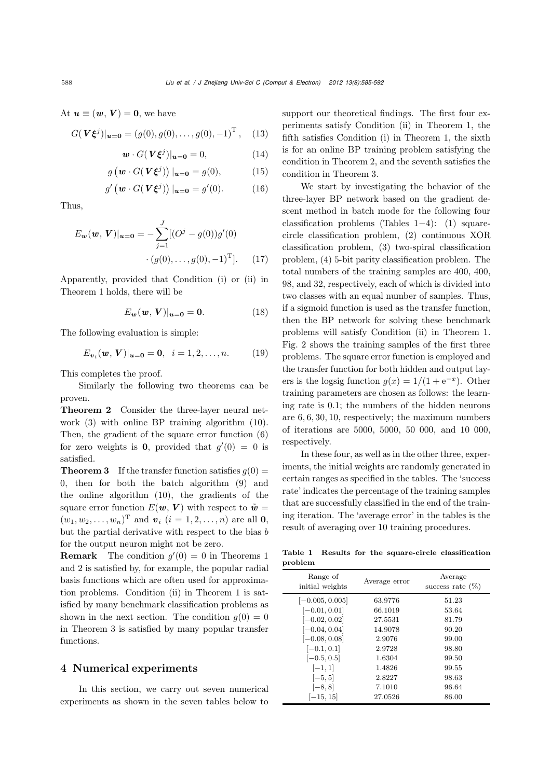At  $u \equiv (w, V) = 0$ , we have

$$
G(\mathbf{V}\xi^{j})|_{\mathbf{u}=\mathbf{0}} = (g(0), g(0), \dots, g(0), -1)^{\mathrm{T}}, \quad (13)
$$

$$
\mathbf{w} \cdot G(\mathbf{V}\boldsymbol{\xi}^j)|_{\mathbf{u}=\mathbf{0}} = 0,\tag{14}
$$

$$
g\left(\boldsymbol{w} \cdot G(\boldsymbol{V}\boldsymbol{\xi}^j)\right)|_{\boldsymbol{u}=\boldsymbol{0}} = g(0),\tag{15}
$$

$$
g'\left(\mathbf{w} \cdot G(\mathbf{V}\boldsymbol{\xi}^j)\right)|_{\mathbf{u}=\mathbf{0}} = g'(0). \tag{16}
$$

Thus,

$$
E_{\mathbf{w}}(\mathbf{w}, \mathbf{V})|_{\mathbf{u}=\mathbf{0}} = -\sum_{j=1}^{J} [(O^{j} - g(0))g'(0) + (g(0), \dots, g(0), -1)^{T}]. \tag{17}
$$

Apparently, provided that Condition (i) or (ii) in Theorem 1 holds, there will be

$$
E_{\boldsymbol{w}}(\boldsymbol{w},\boldsymbol{V})|_{\boldsymbol{u}=\boldsymbol{0}}=\boldsymbol{0}.\tag{18}
$$

The following evaluation is simple:

$$
E_{\boldsymbol{v}_i}(\boldsymbol{w}, \boldsymbol{V})|_{\boldsymbol{u}=\boldsymbol{0}} = \boldsymbol{0}, \ \ i = 1, 2, \dots, n. \tag{19}
$$

This completes the proof.

Similarly the following two theorems can be proven.

Theorem 2 Consider the three-layer neural network (3) with online BP training algorithm (10). Then, the gradient of the square error function (6) for zero weights is **0**, provided that  $g'(0) = 0$  is satisfied.

**Theorem 3** If the transfer function satisfies  $q(0)$  = 0, then for both the batch algorithm (9) and the online algorithm (10), the gradients of the square error function  $E(\mathbf{w}, \mathbf{V})$  with respect to  $\tilde{\mathbf{w}} =$  $(w_1, w_2,..., w_n)^{\text{T}}$  and  $v_i$   $(i = 1, 2,..., n)$  are all **0**, but the partial derivative with respect to the bias b for the output neuron might not be zero.

**Remark** The condition  $g'(0) = 0$  in Theorems 1 and 2 is satisfied by, for example, the popular radial basis functions which are often used for approximation problems. Condition (ii) in Theorem 1 is satisfied by many benchmark classification problems as shown in the next section. The condition  $q(0) = 0$ in Theorem 3 is satisfied by many popular transfer functions.

#### 4 Numerical experiments

In this section, we carry out seven numerical experiments as shown in the seven tables below to support our theoretical findings. The first four experiments satisfy Condition (ii) in Theorem 1, the fifth satisfies Condition (i) in Theorem 1, the sixth is for an online BP training problem satisfying the condition in Theorem 2, and the seventh satisfies the condition in Theorem 3.

We start by investigating the behavior of the three-layer BP network based on the gradient descent method in batch mode for the following four classification problems (Tables 1−4): (1) squarecircle classification problem, (2) continuous XOR classification problem, (3) two-spiral classification problem, (4) 5-bit parity classification problem. The total numbers of the training samples are 400, 400, 98, and 32, respectively, each of which is divided into two classes with an equal number of samples. Thus, if a sigmoid function is used as the transfer function, then the BP network for solving these benchmark problems will satisfy Condition (ii) in Theorem 1. Fig. 2 shows the training samples of the first three problems. The square error function is employed and the transfer function for both hidden and output layers is the logsig function  $q(x)=1/(1 + e^{-x})$ . Other training parameters are chosen as follows: the learning rate is <sup>0</sup>.1; the numbers of the hidden neurons are <sup>6</sup>, <sup>6</sup>, <sup>30</sup>, <sup>10</sup>, respectively; the maximum numbers of iterations are 5000, 5000, 50 000, and 10 000, respectively.

In these four, as well as in the other three, experiments, the initial weights are randomly generated in certain ranges as specified in the tables. The 'success rate' indicates the percentage of the training samples that are successfully classified in the end of the training iteration. The 'average error' in the tables is the result of averaging over 10 training procedures.

Table 1 Results for the square-circle classification problem

| Range of<br>initial weights | Average error | Average<br>success rate $(\%)$ |
|-----------------------------|---------------|--------------------------------|
| $[-0.005, 0.005]$           | 63.9776       | 51.23                          |
| $[-0.01, 0.01]$             | 66.1019       | 53.64                          |
| $[-0.02, 0.02]$             | 27.5531       | 81.79                          |
| $[-0.04, 0.04]$             | 14.9078       | 90.20                          |
| $[-0.08, 0.08]$             | 2.9076        | 99.00                          |
| $[-0.1, 0.1]$               | 2.9728        | 98.80                          |
| $[-0.5, 0.5]$               | 1.6304        | 99.50                          |
| $[-1, 1]$                   | 1.4826        | 99.55                          |
| $[-5, 5]$                   | 2.8227        | 98.63                          |
| $[-8, 8]$                   | 7.1010        | 96.64                          |
| $[-15, 15]$                 | 27.0526       | 86.00                          |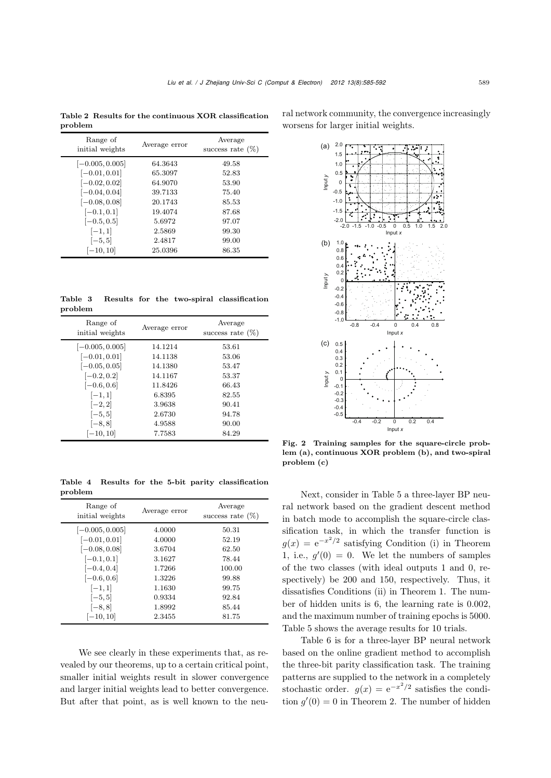Table 2 Results for the continuous XOR classification problem

| Range of<br>initial weights | Average error | Average<br>success rate $(\%)$ |  |  |
|-----------------------------|---------------|--------------------------------|--|--|
| $[-0.005, 0.005]$           | 64.3643       | 49.58                          |  |  |
| $[-0.01, 0.01]$             | 65.3097       | 52.83                          |  |  |
| $[-0.02, 0.02]$             | 64.9070       | 53.90                          |  |  |
| $[-0.04, 0.04]$             | 39.7133       | 75.40                          |  |  |
| $[-0.08, 0.08]$             | 20.1743       | 85.53                          |  |  |
| $[-0.1, 0.1]$               | 19.4074       | 87.68                          |  |  |
| $[-0.5, 0.5]$               | 5.6972        | 97.07                          |  |  |
| $[-1, 1]$                   | 2.5869        | 99.30                          |  |  |
| $[-5, 5]$                   | 2.4817        | 99.00                          |  |  |
| $[-10, 10]$                 | 25.0396       | 86.35                          |  |  |

Table 3 Results for the two-spiral classification problem

| Range of<br>initial weights | Average error | Average<br>success rate $(\%)$ |  |  |
|-----------------------------|---------------|--------------------------------|--|--|
| $[-0.005, 0.005]$           | 14.1214       | 53.61                          |  |  |
| $[-0.01, 0.01]$             | 14.1138       | 53.06                          |  |  |
| $[-0.05, 0.05]$             | 14.1380       | 53.47                          |  |  |
| $[-0.2, 0.2]$               | 14.1167       | 53.37                          |  |  |
| $[-0.6, 0.6]$               | 11.8426       | 66.43                          |  |  |
| $[-1, 1]$                   | 6.8395        | 82.55                          |  |  |
| $[-2, 2]$                   | 3.9638        | 90.41                          |  |  |
| $[-5, 5]$                   | 2.6730        | 94.78                          |  |  |
| $[-8, 8]$                   | 4.9588        | 90.00                          |  |  |
| $[-10, 10]$                 | 7.7583        | 84.29                          |  |  |

Table 4 Results for the 5-bit parity classification problem

| Range of<br>initial weights | Average error | Average<br>success rate $(\%)$ |  |
|-----------------------------|---------------|--------------------------------|--|
| $[-0.005, 0.005]$           | 4.0000        | 50.31                          |  |
| $[-0.01, 0.01]$             | 4.0000        | 52.19                          |  |
| $[-0.08, 0.08]$             | 3.6704        | 62.50                          |  |
| $[-0.1, 0.1]$               | 3.1627        | 78.44                          |  |
| $[-0.4, 0.4]$               | 1.7266        | 100.00                         |  |
| $[-0.6, 0.6]$               | 1.3226        | 99.88                          |  |
| $[-1, 1]$                   | 1.1630        | 99.75                          |  |
| $[-5, 5]$                   | 0.9334        | 92.84                          |  |
| $[-8, 8]$                   | 1.8992        | 85.44                          |  |
| $[-10, 10]$                 | 2.3455        | 81.75                          |  |

We see clearly in these experiments that, as revealed by our theorems, up to a certain critical point, smaller initial weights result in slower convergence and larger initial weights lead to better convergence. But after that point, as is well known to the neural network community, the convergence increasingly worsens for larger initial weights.



Fig. 2 Training samples for the square-circle problem (a), continuous XOR problem (b), and two-spiral problem (c)

Next, consider in Table 5 a three-layer BP neural network based on the gradient descent method in batch mode to accomplish the square-circle classification task, in which the transfer function is  $q(x) = e^{-x^2/2}$  satisfying Condition (i) in Theorem 1, i.e.,  $g'(0) = 0$ . We let the numbers of samples<br>of the two classes (with ideal outputs 1 and 0, re of the two classes (with ideal outputs 1 and 0, respectively) be 200 and 150, respectively. Thus, it dissatisfies Conditions (ii) in Theorem 1. The number of hidden units is <sup>6</sup>, the learning rate is <sup>0</sup>.002, and the maximum number of training epochs is 5000. Table 5 shows the average results for 10 trials.

Table 6 is for a three-layer BP neural network based on the online gradient method to accomplish the three-bit parity classification task. The training patterns are supplied to the network in a completely stochastic order.  $g(x) = e^{-x^2/2}$  satisfies the condition  $g'(0) = 0$  in Theorem 2. The number of hidden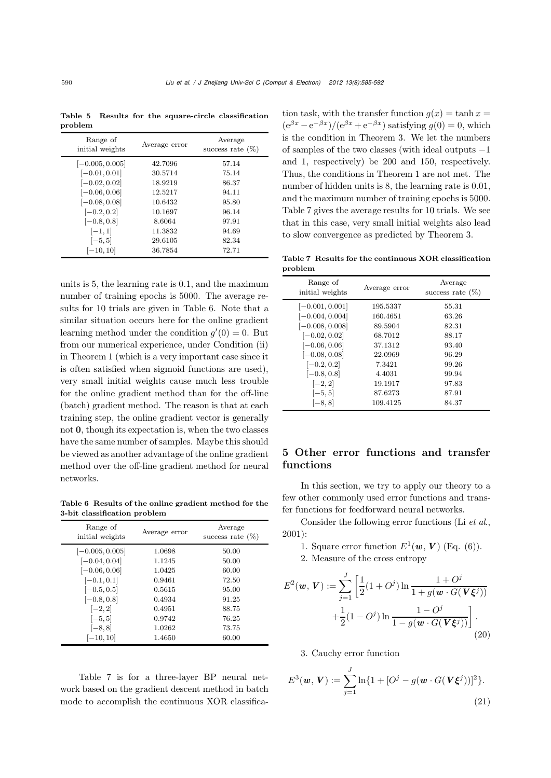Table 5 Results for the square-circle classification problem

| Range of<br>initial weights | Average error | Average<br>success rate $(\%)$ |  |  |
|-----------------------------|---------------|--------------------------------|--|--|
| $[-0.005, 0.005]$           | 42.7096       | 57.14                          |  |  |
| $[-0.01, 0.01]$             | 30.5714       | 75.14                          |  |  |
| $[-0.02, 0.02]$             | 18.9219       | 86.37                          |  |  |
| $[-0.06, 0.06]$             | 12.5217       | 94.11                          |  |  |
| $[-0.08, 0.08]$             | 10.6432       | 95.80                          |  |  |
| $[-0.2, 0.2]$               | 10.1697       | 96.14                          |  |  |
| $[-0.8, 0.8]$               | 8.6064        | 97.91                          |  |  |
| $[-1, 1]$                   | 11.3832       | 94.69                          |  |  |
| $[-5, 5]$                   | 29.6105       | 82.34                          |  |  |
| $[-10, 10]$                 | 36.7854       | 72.71                          |  |  |

units is <sup>5</sup>, the learning rate is <sup>0</sup>.1, and the maximum number of training epochs is 5000. The average results for 10 trials are given in Table 6. Note that a similar situation occurs here for the online gradient learning method under the condition  $g'(0) = 0$ . But<br>from our numerical experience, under Condition (ii) from our numerical experience, under Condition (ii) in Theorem 1 (which is a very important case since it is often satisfied when sigmoid functions are used), very small initial weights cause much less trouble for the online gradient method than for the off-line (batch) gradient method. The reason is that at each training step, the online gradient vector is generally not **0**, though its expectation is, when the two classes have the same number of samples. Maybe this should be viewed as another advantage of the online gradient method over the off-line gradient method for neural networks.

Table 6 Results of the online gradient method for the 3-bit classification problem

| Range of<br>initial weights | Average error | Average<br>success rate $(\%)$ |  |  |
|-----------------------------|---------------|--------------------------------|--|--|
| $[-0.005, 0.005]$           | 1.0698        | 50.00                          |  |  |
| $[-0.04, 0.04]$             | 1.1245        | 50.00                          |  |  |
| $[-0.06, 0.06]$             | 1.0425        | 60.00                          |  |  |
| $[-0.1, 0.1]$               | 0.9461        | 72.50                          |  |  |
| $[-0.5, 0.5]$               | 0.5615        | 95.00                          |  |  |
| $[-0.8, 0.8]$               | 0.4934        | 91.25                          |  |  |
| $[-2, 2]$                   | 0.4951        | 88.75                          |  |  |
| $[-5, 5]$                   | 0.9742        | 76.25                          |  |  |
| $[-8, 8]$                   | 1.0262        | 73.75                          |  |  |
| $[-10, 10]$                 | 1.4650        | 60.00                          |  |  |

Table 7 is for a three-layer BP neural network based on the gradient descent method in batch mode to accomplish the continuous XOR classification task, with the transfer function  $g(x) = \tanh x =$  $(e^{\beta x}-e^{-\beta x})/(e^{\beta x}+e^{-\beta x})$  satisfying  $q(0)=0$ , which is the condition in Theorem 3. We let the numbers of samples of the two classes (with ideal outputs −1 and 1, respectively) be 200 and 150, respectively. Thus, the conditions in Theorem 1 are not met. The number of hidden units is <sup>8</sup>, the learning rate is <sup>0</sup>.01, and the maximum number of training epochs is 5000. Table 7 gives the average results for 10 trials. We see that in this case, very small initial weights also lead to slow convergence as predicted by Theorem 3.

Table 7 Results for the continuous XOR classification problem

| Range of<br>initial weights                                                                                                                                                      | Average error                                                                                              | Average<br>success rate $(\%)$                                                         |
|----------------------------------------------------------------------------------------------------------------------------------------------------------------------------------|------------------------------------------------------------------------------------------------------------|----------------------------------------------------------------------------------------|
| $[-0.001, 0.001]$<br>$[-0.004, 0.004]$<br>$[-0.008, 0.008]$<br>$[-0.02, 0.02]$<br>$[-0.06, 0.06]$<br>$[-0.08, 0.08]$<br>$[-0.2, 0.2]$<br>$[-0.8, 0.8]$<br>$[-2, 2]$<br>$[-5, 5]$ | 195.5337<br>160.4651<br>89.5904<br>68.7012<br>37.1312<br>22.0969<br>7.3421<br>4.4031<br>19.1917<br>87.6273 | 55.31<br>63.26<br>82.31<br>88.17<br>93.40<br>96.29<br>99.26<br>99.94<br>97.83<br>87.91 |
| $[-8, 8]$                                                                                                                                                                        | 109.4125                                                                                                   | 84.37                                                                                  |

## 5 Other error functions and transfer functions

In this section, we try to apply our theory to a few other commonly used error functions and transfer functions for feedforward neural networks.

Consider the following error functions (Li *et al*., 2001):

- 1. Square error function  $E^1(\boldsymbol{w}, \boldsymbol{V})$  (Eq. (6)).
- 2. Measure of the cross entropy

$$
E^{2}(\mathbf{w}, \mathbf{V}) := \sum_{j=1}^{J} \left[ \frac{1}{2} (1 + O^{j}) \ln \frac{1 + O^{j}}{1 + g(\mathbf{w} \cdot G(\mathbf{V}\xi^{j}))} + \frac{1}{2} (1 - O^{j}) \ln \frac{1 - O^{j}}{1 - g(\mathbf{w} \cdot G(\mathbf{V}\xi^{j}))} \right].
$$
\n(20)

3. Cauchy error function

$$
E^{3}(\boldsymbol{w}, \boldsymbol{V}) := \sum_{j=1}^{J} \ln\{1 + [O^{j} - g(\boldsymbol{w} \cdot G(\boldsymbol{V}\boldsymbol{\xi}^{j}))]^{2}\}.
$$
\n(21)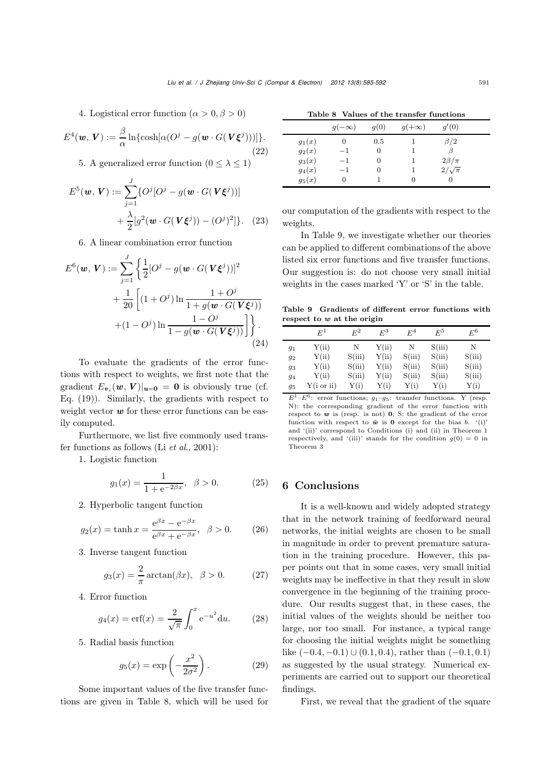4. Logistical error function ( $\alpha > 0, \beta > 0$ )

$$
E^{4}(\boldsymbol{w},\boldsymbol{V}) := \frac{\beta}{\alpha} \ln \{ \cosh[\alpha(O^{j} - g(\boldsymbol{w} \cdot G(\boldsymbol{V}\boldsymbol{\xi}^{j})))] \}.
$$
\n(22)

5. A generalized error function  $(0 < \lambda < 1)$ 

$$
E^{5}(\boldsymbol{w}, \boldsymbol{V}) := \sum_{j=1}^{J} \{ O^{j} [O^{j} - g(\boldsymbol{w} \cdot G(\boldsymbol{V} \boldsymbol{\xi}^{j}))] + \frac{\lambda}{2} [g^{2}(\boldsymbol{w} \cdot G(\boldsymbol{V} \boldsymbol{\xi}^{j})) - (O^{j})^{2}] \}. \tag{23}
$$

6. A linear combination error function

$$
E^{6}(\mathbf{w}, \mathbf{V}) := \sum_{j=1}^{J} \left\{ \frac{1}{2} [O^{j} - g(\mathbf{w} \cdot G(\mathbf{V}\boldsymbol{\xi}^{j}))]^{2} + \frac{1}{20} \left[ (1 + O^{j}) \ln \frac{1 + O^{j}}{1 + g(\mathbf{w} \cdot G(\mathbf{V}\boldsymbol{\xi}^{j}))} + (1 - O^{j}) \ln \frac{1 - O^{j}}{1 - g(\mathbf{w} \cdot G(\mathbf{V}\boldsymbol{\xi}^{j}))} \right] \right\}.
$$
\n(24)

To evaluate the gradients of the error functions with respect to weights, we first note that the gradient  $E_{v_i}(\boldsymbol{w}, \boldsymbol{V})|_{\boldsymbol{u}=\boldsymbol{0}} = \boldsymbol{0}$  is obviously true (cf. Eq. (19)). Similarly, the gradients with respect to weight vector **w** for these error functions can be easily computed.

Furthermore, we list five commonly used transfer functions as follows (Li *et al*., 2001):

1. Logistic function

$$
g_1(x) = \frac{1}{1 + e^{-2\beta x}}, \ \ \beta > 0. \tag{25}
$$

2. Hyperbolic tangent function

$$
g_2(x) = \tanh x = \frac{e^{\beta x} - e^{-\beta x}}{e^{\beta x} + e^{-\beta x}}, \ \beta > 0.
$$
 (26)

3. Inverse tangent function

$$
g_3(x) = \frac{2}{\pi} \arctan(\beta x), \quad \beta > 0. \tag{27}
$$

4. Error function

$$
g_4(x) = \text{erf}(x) = \frac{2}{\sqrt{\pi}} \int_0^x e^{-u^2} du. \qquad (28)
$$

5. Radial basis function

$$
g_5(x) = \exp\left(-\frac{x^2}{2\sigma^2}\right). \tag{29}
$$

Some important values of the five transfer functions are given in Table 8, which will be used for

|          | $q(-\infty)$ | q(0)     | $g(+\infty)$ | q'(0)          |  |
|----------|--------------|----------|--------------|----------------|--|
| $g_1(x)$ |              | 0.5      |              | $\beta/2$      |  |
| $g_2(x)$ | $-1$         | 0        |              |                |  |
| $g_3(x)$ | $-1$         | $\theta$ |              | $2\beta/\pi$   |  |
| $g_4(x)$ | $-1$         | 0        |              | $2/\sqrt{\pi}$ |  |
| $g_5(x)$ |              |          |              |                |  |

our computation of the gradients with respect to the weights.

In Table 9, we investigate whether our theories can be applied to different combinations of the above listed six error functions and five transfer functions. Our suggestion is: do not choose very small initial weights in the cases marked 'Y' or 'S' in the table.

Table 9 Gradients of different error functions with respect to *w* at the origin

|    | $E^1$      | $E^2$  | $E^3$ | $E^4$  | $E^5$  | $\,E^6$ |
|----|------------|--------|-------|--------|--------|---------|
| 91 | Y(ii)      | N      | Y(ii) | N      | S(iii) | N       |
| 92 | Y(ii)      | S(iii) | Y(ii) | S(iii) | S(iii) | S(iii)  |
| 93 | Y(ii)      | S(iii) | Y(ii) | S(iii) | S(iii) | S(iii)  |
| 94 | Y(ii)      | S(iii) | Y(ii) | S(iii) | S(iii) | S(iii)  |
| 95 | Y(i or ii) | Y(i)   | Y(i)  | Y(i)   | Y(i)   | Y(i)    |

 $E^1-E^6$ : error functions;  $g_1-g_5$ : transfer functions. Y (resp.<br>N), the corresponding gradient of the error function with N): the corresponding gradient of the error function with respect to *w* is (resp. is not) **0**; S: the gradient of the error function with respect to  $\tilde{\mathbf{w}}$  is **0** except for the bias b. '(i)' and '(ii)' correspond to Conditions (i) and (ii) in Theorem 1 respectively, and '(iii)' stands for the condition  $g(0) = 0$  in Theorem 3

#### 6 Conclusions

It is a well-known and widely adopted strategy that in the network training of feedforward neural networks, the initial weights are chosen to be small in magnitude in order to prevent premature saturation in the training procedure. However, this paper points out that in some cases, very small initial weights may be ineffective in that they result in slow convergence in the beginning of the training procedure. Our results suggest that, in these cases, the initial values of the weights should be neither too large, nor too small. For instance, a typical range for choosing the initial weights might be something like  $(-0.4, -0.1) \cup (0.1, 0.4)$ , rather than  $(-0.1, 0.1)$ as suggested by the usual strategy. Numerical experiments are carried out to support our theoretical findings.

First, we reveal that the gradient of the square